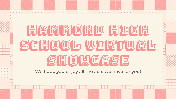# HAMMOND HIGH SCHOOL VIRTUAL SHOWCASE

We hope you enjoy all the acts we have for you!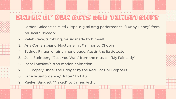## Order of our acts and timestamps

- 1. Jordan Galeone as Missi Clispe, digital drag performance, "Funny Honey" from musical "Chicago"
- 2. Kaleb Cave, tumbling, music made by himself
- 3. Ana Coman ,piano, Nocturne in c# minor by Chopin
- 4. Sydney Finger, original monologue, Austin the lie detector
- 5. Julia Steinberg, "Just You Wait" from the musical "My Fair Lady"
- 6. Isabel Moskov's stop motion animation
- 7. EJ Cooper,"Under the Bridge" by the Red Hot Chili Peppers
- 8. Janelle Sarfo, dance,"Butter" by BTS
- 9. Kaelyn Baggett, "Naked" by James Arthur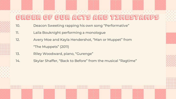# Order of our acts and timestamps

- 10. Deacon Sweeting rapping his own song "Performative"
- 11. Laila Bouknight performing a monologue
- 12. Avery Moe and Kayla Hendershot, "Man or Muppet" from
	- "The Muppets" (2011)
- 13. Riley Woodward, piano, "Gurenge"
- 14. Skylar Shaffer, "Back to Before" from the musical "Ragtime"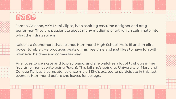

Jordan Galeone, AKA Missi Clipse, is an aspiring costume designer and drag performer. They are passionate about many mediums of art, which culminate into what their drag style is!

Kaleb is a Sophomore that attends Hammond High School. He is 15 and an elite power tumbler. He produces beats on his free time and just likes to have fun with whatever he does and comes his way.

Ana loves to ice skate and to play piano, and she watches a lot of tv shows in her free time (her favorite being Psych). This fall she's going to University of Maryland College Park as a computer science major! She's excited to participate in this last event at Hammond before she leaves for college.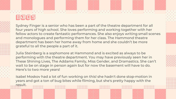### BIOS

Sydney Finger is a senior who has been a part of the theatre department for all four years of high school. She loves performing and working together with her fellow actors to create fantastic performances. She also enjoys writing small scenes and monologues and performing them for her class. The Hammond theatre department has been her home away from home and she couldn't be more grateful to all the people a part of it.

Julia Steinberg is a sophomore at Hammond and is excited as always to be performing with the theatre department. You may have previously seen her in These Shining Lives, The Addams Family, Miss Gender, and Dramastics. She can't wait to be on stage in person again but for now the basement will have to do. Here's to two more years!

Isabel Moskov had a lot of fun working on this! she hadn't done stop-motion in years and got a ton of bug bites while filming, but she's pretty happy with the result.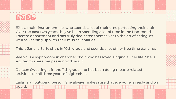



board.

EJ is a multi-instrumentalist who spends a lot of their time perfecting their craft. Over the past two years, they've been spending a lot of time in the Hammond Theatre department and has truly dedicated themselves to the art of acting, as well as keeping up with their musical abilities.

This is Janelle Sarfo she's in 10th grade and spends a lot of her free time dancing.

Kaelyn is a sophomore in chamber choir who has loved singing all her life. She is excited to share her passion with you :)

Deacon Sweeting is in the 11th grade and has been doing theatre related activities for all three years of high school.

Laila is an outgoing person. She always makes sure that everyone is ready and on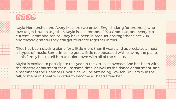



Kayla Hendershot and Avery Moe are two bruvs (English slang for brothers) who love to get brunch together. Kayla is a Hammond 2020 Graduate, and Avery is a current Hammond senior. They have been in productions together since 2018, and they're grateful they still get to create together in this.

Riley has been playing piano for a little more than 9 years and appreciates almost all types of music. Sometimes he gets a little too obsessed with playing the piano, so his family has to tell him to quiet down with all of the ruckus.

Skylar is excited to participate this year in the virtual showcase! She has been with the theatre department for quite some time, as well as the dance department, and a member of the Chamber Choir. She will be attending Towson University in the fall, to major in Theatre in order to become a Theatre teacher.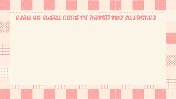### Scan or click here to watch the Showcase























































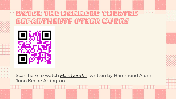# WATCH THE HAMMOND THEATR Departments other works



Scan here to watch *[Miss Gender](https://youtu.be/xhr3FLvsl5w)* written by Hammond Alum Juno Keche Arrington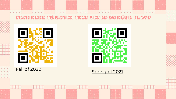### Scan here to watch This Years 24 Hour Plays



[Fall of 2020](https://youtu.be/YGbMLXMswJ0)



[Spring of 2021](https://youtu.be/vzjw4Pt2u2o)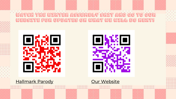





[Hallmark Parody](https://youtu.be/X2nTh-9_N1w) **[Our Website](https://www.hammondhightheatre.org/)**